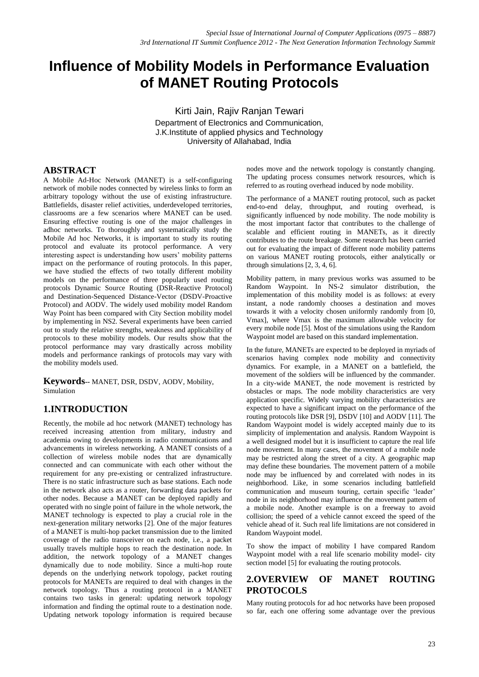# **Influence of Mobility Models in Performance Evaluation of MANET Routing Protocols**

Kirti Jain, Rajiv Ranjan Tewari Department of Electronics and Communication, J.K.Institute of applied physics and Technology University of Allahabad, India

# **ABSTRACT**

A Mobile Ad-Hoc Network (MANET) is a self-configuring network of mobile nodes connected by wireless links to form an arbitrary topology without the use of existing infrastructure. Battlefields, disaster relief activities, underdeveloped territories, classrooms are a few scenarios where MANET can be used. Ensuring effective routing is one of the major challenges in adhoc networks. To thoroughly and systematically study the Mobile Ad hoc Networks, it is important to study its routing protocol and evaluate its protocol performance. A very interesting aspect is understanding how users' mobility patterns impact on the performance of routing protocols. In this paper, we have studied the effects of two totally different mobility models on the performance of three popularly used routing protocols Dynamic Source Routing (DSR-Reactive Protocol) and Destination-Sequenced Distance-Vector (DSDV-Proactive Protocol) and AODV. The widely used mobility model Random Way Point has been compared with City Section mobility model by implementing in NS2. Several experiments have been carried out to study the relative strengths, weakness and applicability of protocols to these mobility models. Our results show that the protocol performance may vary drastically across mobility models and performance rankings of protocols may vary with the mobility models used.

**Keywords***--* MANET, DSR, DSDV, AODV, Mobility, Simulation

## **1.INTRODUCTION**

Recently, the mobile ad hoc network (MANET) technology has received increasing attention from military, industry and academia owing to developments in radio communications and advancements in wireless networking. A MANET consists of a collection of wireless mobile nodes that are dynamically connected and can communicate with each other without the requirement for any pre-existing or centralized infrastructure. There is no static infrastructure such as base stations. Each node in the network also acts as a router, forwarding data packets for other nodes. Because a MANET can be deployed rapidly and operated with no single point of failure in the whole network, the MANET technology is expected to play a crucial role in the next-generation military networks [2]. One of the major features of a MANET is multi-hop packet transmission due to the limited coverage of the radio transceiver on each node, i.e., a packet usually travels multiple hops to reach the destination node. In addition, the network topology of a MANET changes dynamically due to node mobility. Since a multi-hop route depends on the underlying network topology, packet routing protocols for MANETs are required to deal with changes in the network topology. Thus a routing protocol in a MANET contains two tasks in general: updating network topology information and finding the optimal route to a destination node. Updating network topology information is required because nodes move and the network topology is constantly changing. The updating process consumes network resources, which is referred to as routing overhead induced by node mobility.

The performance of a MANET routing protocol, such as packet end-to-end delay, throughput, and routing overhead, is significantly influenced by node mobility. The node mobility is the most important factor that contributes to the challenge of scalable and efficient routing in MANETs, as it directly contributes to the route breakage. Some research has been carried out for evaluating the impact of different node mobility patterns on various MANET routing protocols, either analytically or through simulations [2, 3, 4, 6].

Mobility pattern, in many previous works was assumed to be Random Waypoint. In NS-2 simulator distribution, the implementation of this mobility model is as follows: at every instant, a node randomly chooses a destination and moves towards it with a velocity chosen uniformly randomly from [0, Vmax], where Vmax is the maximum allowable velocity for every mobile node [5]. Most of the simulations using the Random Waypoint model are based on this standard implementation.

In the future, MANETs are expected to be deployed in myriads of scenarios having complex node mobility and connectivity dynamics. For example, in a MANET on a battlefield, the movement of the soldiers will be influenced by the commander. In a city-wide MANET, the node movement is restricted by obstacles or maps. The node mobility characteristics are very application specific. Widely varying mobility characteristics are expected to have a significant impact on the performance of the routing protocols like DSR [9], DSDV [10] and AODV [11]. The Random Waypoint model is widely accepted mainly due to its simplicity of implementation and analysis. Random Waypoint is a well designed model but it is insufficient to capture the real life node movement. In many cases, the movement of a mobile node may be restricted along the street of a city. A geographic map may define these boundaries. The movement pattern of a mobile node may be influenced by and correlated with nodes in its neighborhood. Like, in some scenarios including battlefield communication and museum touring, certain specific 'leader' node in its neighborhood may influence the movement pattern of a mobile node. Another example is on a freeway to avoid collision; the speed of a vehicle cannot exceed the speed of the vehicle ahead of it. Such real life limitations are not considered in Random Waypoint model.

To show the impact of mobility I have compared Random Waypoint model with a real life scenario mobility model- city section model [5] for evaluating the routing protocols.

# **2.OVERVIEW OF MANET ROUTING PROTOCOLS**

Many routing protocols for ad hoc networks have been proposed so far, each one offering some advantage over the previous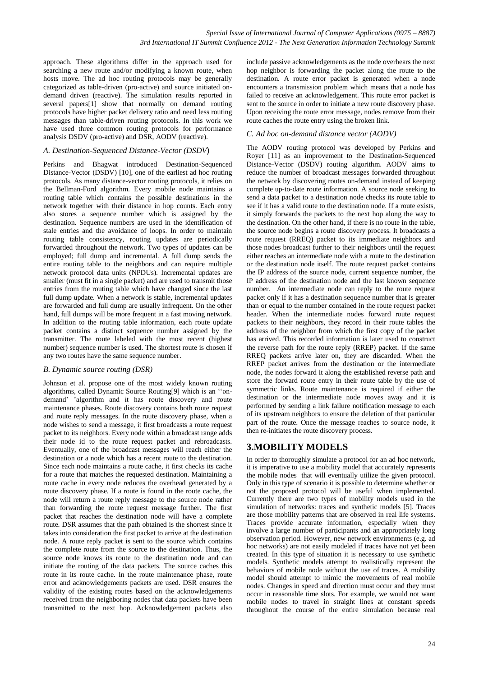approach. These algorithms differ in the approach used for searching a new route and/or modifying a known route, when hosts move. The ad hoc routing protocols may be generally categorized as table-driven (pro-active) and source initiated ondemand driven (reactive). The simulation results reported in several papers[1] show that normally on demand routing protocols have higher packet delivery ratio and need less routing messages than table-driven routing protocols. In this work we have used three common routing protocols for performance analysis DSDV (pro-active) and DSR, AODV (reactive).

#### *A. Destination-Sequenced Distance-Vector (DSDV*)

Perkins and Bhagwat introduced Destination-Sequenced Distance-Vector (DSDV) [10], one of the earliest ad hoc routing protocols. As many distance-vector routing protocols, it relies on the Bellman-Ford algorithm. Every mobile node maintains a routing table which contains the possible destinations in the network together with their distance in hop counts. Each entry also stores a sequence number which is assigned by the destination. Sequence numbers are used in the identification of stale entries and the avoidance of loops. In order to maintain routing table consistency, routing updates are periodically forwarded throughout the network. Two types of updates can be employed; full dump and incremental. A full dump sends the entire routing table to the neighbors and can require multiple network protocol data units (NPDUs). Incremental updates are smaller (must fit in a single packet) and are used to transmit those entries from the routing table which have changed since the last full dump update. When a network is stable, incremental updates are forwarded and full dump are usually infrequent. On the other hand, full dumps will be more frequent in a fast moving network. In addition to the routing table information, each route update packet contains a distinct sequence number assigned by the transmitter. The route labeled with the most recent (highest number) sequence number is used. The shortest route is chosen if any two routes have the same sequence number.

#### *B. Dynamic source routing (DSR)*

Johnson et al. propose one of the most widely known routing algorithms, called Dynamic Source Routing[9] which is an ''ondemand' 'algorithm and it has route discovery and route maintenance phases. Route discovery contains both route request and route reply messages. In the route discovery phase, when a node wishes to send a message, it first broadcasts a route request packet to its neighbors. Every node within a broadcast range adds their node id to the route request packet and rebroadcasts. Eventually, one of the broadcast messages will reach either the destination or a node which has a recent route to the destination. Since each node maintains a route cache, it first checks its cache for a route that matches the requested destination. Maintaining a route cache in every node reduces the overhead generated by a route discovery phase. If a route is found in the route cache, the node will return a route reply message to the source node rather than forwarding the route request message further. The first packet that reaches the destination node will have a complete route. DSR assumes that the path obtained is the shortest since it takes into consideration the first packet to arrive at the destination node. A route reply packet is sent to the source which contains the complete route from the source to the destination. Thus, the source node knows its route to the destination node and can initiate the routing of the data packets. The source caches this route in its route cache. In the route maintenance phase, route error and acknowledgements packets are used. DSR ensures the validity of the existing routes based on the acknowledgements received from the neighboring nodes that data packets have been transmitted to the next hop. Acknowledgement packets also

include passive acknowledgements as the node overhears the next hop neighbor is forwarding the packet along the route to the destination. A route error packet is generated when a node encounters a transmission problem which means that a node has failed to receive an acknowledgement. This route error packet is sent to the source in order to initiate a new route discovery phase. Upon receiving the route error message, nodes remove from their route caches the route entry using the broken link.

#### *C. Ad hoc on-demand distance vector (AODV)*

The AODV routing protocol was developed by Perkins and Royer [11] as an improvement to the Destination-Sequenced Distance-Vector (DSDV) routing algorithm. AODV aims to reduce the number of broadcast messages forwarded throughout the network by discovering routes on-demand instead of keeping complete up-to-date route information. A source node seeking to send a data packet to a destination node checks its route table to see if it has a valid route to the destination node. If a route exists, it simply forwards the packets to the next hop along the way to the destination. On the other hand, if there is no route in the table, the source node begins a route discovery process. It broadcasts a route request (RREQ) packet to its immediate neighbors and those nodes broadcast further to their neighbors until the request either reaches an intermediate node with a route to the destination or the destination node itself. The route request packet contains the IP address of the source node, current sequence number, the IP address of the destination node and the last known sequence number. An intermediate node can reply to the route request packet only if it has a destination sequence number that is greater than or equal to the number contained in the route request packet header. When the intermediate nodes forward route request packets to their neighbors, they record in their route tables the address of the neighbor from which the first copy of the packet has arrived. This recorded information is later used to construct the reverse path for the route reply (RREP) packet. If the same RREQ packets arrive later on, they are discarded. When the RREP packet arrives from the destination or the intermediate node, the nodes forward it along the established reverse path and store the forward route entry in their route table by the use of symmetric links. Route maintenance is required if either the destination or the intermediate node moves away and it is performed by sending a link failure notification message to each of its upstream neighbors to ensure the deletion of that particular part of the route. Once the message reaches to source node, it then re-initiates the route discovery process.

## **3.MOBILITY MODELS**

In order to thoroughly simulate a protocol for an ad hoc network, it is imperative to use a mobility model that accurately represents the mobile nodes that will eventually utilize the given protocol. Only in this type of scenario it is possible to determine whether or not the proposed protocol will be useful when implemented. Currently there are two types of mobility models used in the simulation of networks: traces and synthetic models [5]. Traces are those mobility patterns that are observed in real life systems. Traces provide accurate information, especially when they involve a large number of participants and an appropriately long observation period. However, new network environments (e.g. ad hoc networks) are not easily modeled if traces have not yet been created. In this type of situation it is necessary to use synthetic models. Synthetic models attempt to realistically represent the behaviors of mobile node without the use of traces. A mobility model should attempt to mimic the movements of real mobile nodes. Changes in speed and direction must occur and they must occur in reasonable time slots. For example, we would not want mobile nodes to travel in straight lines at constant speeds throughout the course of the entire simulation because real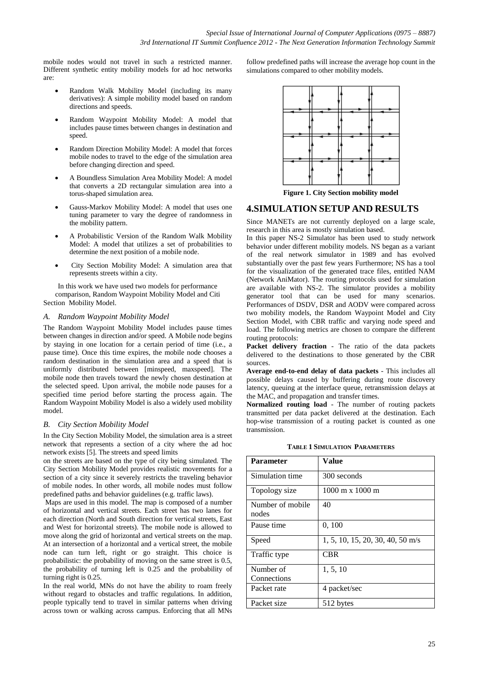mobile nodes would not travel in such a restricted manner. Different synthetic entity mobility models for ad hoc networks are:

- Random Walk Mobility Model (including its many derivatives): A simple mobility model based on random directions and speeds.
- Random Waypoint Mobility Model: A model that includes pause times between changes in destination and speed.
- Random Direction Mobility Model: A model that forces mobile nodes to travel to the edge of the simulation area before changing direction and speed.
- A Boundless Simulation Area Mobility Model: A model that converts a 2D rectangular simulation area into a torus-shaped simulation area.
- Gauss-Markov Mobility Model: A model that uses one tuning parameter to vary the degree of randomness in the mobility pattern.
- A Probabilistic Version of the Random Walk Mobility Model: A model that utilizes a set of probabilities to determine the next position of a mobile node.
- City Section Mobility Model: A simulation area that represents streets within a city.

In this work we have used two models for performance comparison, Random Waypoint Mobility Model and Citi Section Mobility Model.

#### *A. Random Waypoint Mobility Model*

The Random Waypoint Mobility Model includes pause times between changes in direction and/or speed. A Mobile node begins by staying in one location for a certain period of time (i.e., a pause time). Once this time expires, the mobile node chooses a random destination in the simulation area and a speed that is uniformly distributed between [minspeed, maxspeed]. The mobile node then travels toward the newly chosen destination at the selected speed. Upon arrival, the mobile node pauses for a specified time period before starting the process again. The Random Waypoint Mobility Model is also a widely used mobility model.

#### *B. City Section Mobility Model*

In the City Section Mobility Model, the simulation area is a street network that represents a section of a city where the ad hoc network exists [5]. The streets and speed limits

on the streets are based on the type of city being simulated. The City Section Mobility Model provides realistic movements for a section of a city since it severely restricts the traveling behavior of mobile nodes. In other words, all mobile nodes must follow predefined paths and behavior guidelines (e.g. traffic laws).

Maps are used in this model. The map is composed of a number of horizontal and vertical streets. Each street has two lanes for each direction (North and South direction for vertical streets, East and West for horizontal streets). The mobile node is allowed to move along the grid of horizontal and vertical streets on the map. At an intersection of a horizontal and a vertical street, the mobile node can turn left, right or go straight. This choice is probabilistic: the probability of moving on the same street is 0.5, the probability of turning left is 0.25 and the probability of turning right is 0.25.

In the real world, MNs do not have the ability to roam freely without regard to obstacles and traffic regulations. In addition, people typically tend to travel in similar patterns when driving across town or walking across campus. Enforcing that all MNs

follow predefined paths will increase the average hop count in the simulations compared to other mobility models.



**Figure 1. City Section mobility model**

## **4.SIMULATION SETUP AND RESULTS**

Since MANETs are not currently deployed on a large scale, research in this area is mostly simulation based.

In this paper NS-2 Simulator has been used to study network behavior under different mobility models. NS began as a variant of the real network simulator in 1989 and has evolved substantially over the past few years Furthermore; NS has a tool for the visualization of the generated trace files, entitled NAM (Network AniMator). The routing protocols used for simulation are available with NS-2. The simulator provides a mobility generator tool that can be used for many scenarios. Performances of DSDV, DSR and AODV were compared across two mobility models, the Random Waypoint Model and City Section Model, with CBR traffic and varying node speed and load. The following metrics are chosen to compare the different routing protocols:

**Packet delivery fraction** - The ratio of the data packets delivered to the destinations to those generated by the CBR sources.

**Average end-to-end delay of data packets** - This includes all possible delays caused by buffering during route discovery latency, queuing at the interface queue, retransmission delays at the MAC, and propagation and transfer times.

**Normalized routing load** - The number of routing packets transmitted per data packet delivered at the destination. Each hop-wise transmission of a routing packet is counted as one transmission.

**TABLE 1 SIMULATION PARAMETERS**

| <b>Parameter</b>          | Value                                  |
|---------------------------|----------------------------------------|
| Simulation time           | 300 seconds                            |
| Topology size             | $1000 \text{ m} \times 1000 \text{ m}$ |
| Number of mobile<br>nodes | 40                                     |
| Pause time                | 0, 100                                 |
| Speed                     | $1, 5, 10, 15, 20, 30, 40, 50$ m/s     |
| Traffic type              | CBR                                    |
| Number of<br>Connections  | 1, 5, 10                               |
| Packet rate               | 4 packet/sec                           |
| Packet size               | 512 bytes                              |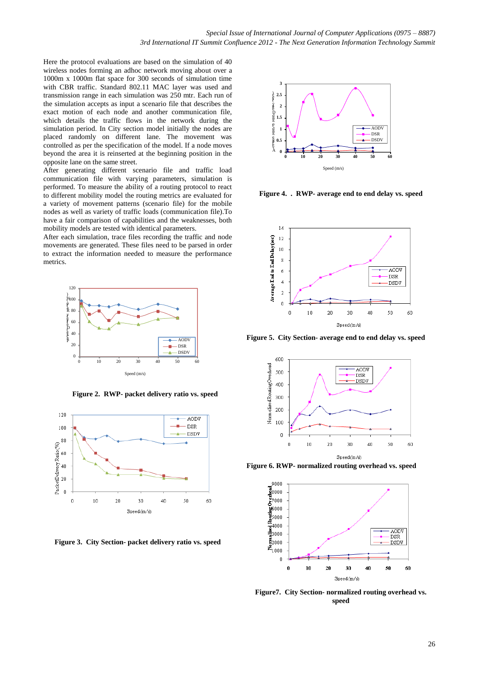Here the protocol evaluations are based on the simulation of 40 wireless nodes forming an adhoc network moving about over a 1000m x 1000m flat space for 300 seconds of simulation time with CBR traffic. Standard 802.11 MAC layer was used and transmission range in each simulation was 250 mtr. Each run of the simulation accepts as input a scenario file that describes the exact motion of each node and another communication file, which details the traffic flows in the network during the simulation period. In City section model initially the nodes are placed randomly on different lane. The movement was controlled as per the specification of the model. If a node moves beyond the area it is reinserted at the beginning position in the opposite lane on the same street.

After generating different scenario file and traffic load communication file with varying parameters, simulation is performed. To measure the ability of a routing protocol to react to different mobility model the routing metrics are evaluated for a variety of movement patterns (scenario file) for the mobile nodes as well as variety of traffic loads (communication file).To have a fair comparison of capabilities and the weaknesses, both mobility models are tested with identical parameters.

After each simulation, trace files recording the traffic and node movements are generated. These files need to be parsed in order to extract the information needed to measure the performance metrics.



**Figure 2. RWP- packet delivery ratio vs. speed**



**Figure 3. City Section- packet delivery ratio vs. speed**



**Figure 4. . RWP- average end to end delay vs. speed**



**Figure 5. City Section- average end to end delay vs. speed**



**Figure 6. RWP- normalized routing overhead vs. speed**



**Figure7. City Section- normalized routing overhead vs. speed**